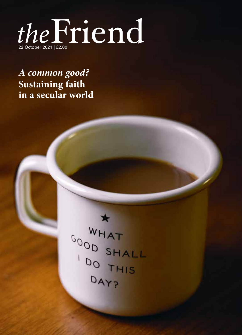

*A common good?* **Sustaining faith in a secular world**

 $\ast$ WHAT COON SHALL DAVS DAY?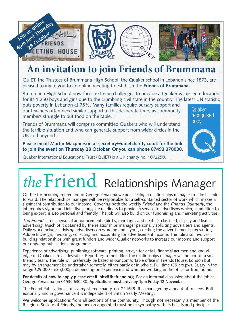

# **An invitation to join Friends of Brummana**

QuIET, the Trustees of Brummana High School, the Quaker school in Lebanon since 1873, are pleased to invite you to an online meeting to establish the **Friends of Brummana.**

Brummana High School now faces extreme challenges to provide a Quaker value-led education for its 1,250 boys and girls due to the crumbling civil state in the country. The latest UN statistic

recognised **1** 

Quaker

QRB Master - Colour - English.indd 1 29.11.2017 2.34 pm

body

puts poverty in Lebanon at 75%. Many families require bursary support and our teachers often need similar support at this desperate time, as community members struggle to put food on the table.

the terrible situation and who can generate support from wider circles in the Friends of Brummana will comprise committed Quakers who will understand UK and beyond.

Please email Martin Macpherson at secretary@quietcharity.co.uk for the link to join the event on Thursday 28 October. Or you can phone 07493 370030.

Quaker International Educational Trust (QuIET) is a UK charity no. 1072250.

# *the*Friend Relationships Manager

On the forthcoming retirement of George Penaluna we are seeking a relationships manager to take his role forward. The relationships manager will be responsible for a self-contained sector of work which makes a significant contribution to our income. Covering both the weekly *Friend* and the *Friends Quarterly*, the job requires vigour and initiative alongside readiness to provide a service to advertisers which, in addition to being expert, is also personal and friendly. The job will also build on our fundraising and marketing activities.

*The Friend* carries personal announcements (births, marriages and deaths), classified, display and leaflet advertising. Much of it obtained by the relationships manager personally soliciting advertisers and agents. Daily work includes advising advertisers on wording and layout, creating the advertisement pages using Adobe InDesign, invoicing, collecting and accounting for advertisement income. The role also involves building relationships with grant funders and wider Quaker networks to increase our income and support our ongoing publications programme.

Experience of advertising, publishing software, printing, an eye for detail, financial acumen and knowledge of Quakers are all desirable. Reporting to the editor, the relationships manager will be part of a small friendly team. The role will preferably be based in our comfortable office in Friends House, London but may by arrangement be undertaken remotely, either partly or in whole. Full time (35 hrs pw). Salary in the range £29,000 - £35,000pa depending on experience and whether working in the office or from home.

**For details of how to apply please email jobs@thefriend.org.** For an informal discussion about the job call George Penaluna on 01535 630230. **Applications must arrive by 1pm Friday 12 November.**

The Friend Publications Ltd is a registered charity, no. 211649. It is managed by a board of trustees. Both editorially and in governance it is independent of Britain Yearly Meeting.

We welcome applications from all sections of the community. Though not necessarily a member of the Religious Society of Friends, the person appointed must be in sympathy with its beliefs and principles.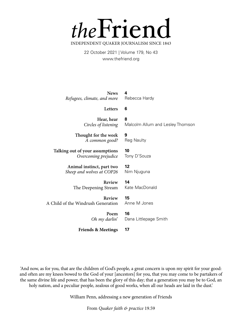

22 October 2021 | Volume 179, No 43 www.thefriend.org

**News** *Refugees, climate, and more* **4** Rebecca Hardy

#### **Letters 6**

**9**

**10**

**12**

**15** 

Reg Naulty

Tony D'Souza

Nim Njuguna

**Hear, hear** *Circles of listening* **8** Malcolm Allum and Lesley Thomson

**Thought for the week** *A common good?*

**Talking out of your assumptions** *Overcoming prejudice*

> **Animal instinct, part two** *Sheep and wolves at COP26*

> > **Review** The Deepening Stream

**14**  Kate MacDonald

Anne M Jones

**Review** A Child of the Windrush Generation

> **Poem** *Oh my darlin*'

**16**  Dana Littlepage Smith

**Friends & Meetings 17**

'And now, as for you, that are the children of God's people, a great concern is upon my spirit for your good: and often are my knees bowed to the God of your [ancestors] for you, that you may come to be partakers of the same divine life and power, that has been the glory of this day; that a generation you may be to God, an holy nation, and a peculiar people, zealous of good works, when all our heads are laid in the dust.'

William Penn, addressing a new generation of Friends

From *Quaker faith & practice* 19.59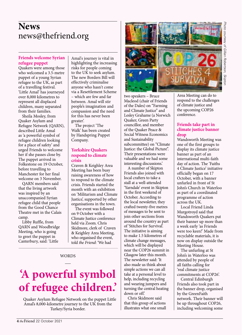# **News** news@thefriend.org

#### **Friends welcome Syrian refugee puppet**

Quakers were among those who welcomed a 3.5-metre puppet of a young Syrian refugee to the UK, as part of a travelling festival. 'Little Amal' has journeyed over 8,000 kilometres to represent all displaced children, many separated from their families.

Sheila Mosley, from Quaker Asylum and Refugee Network (QARN), described Little Amal as 'a powerful symbol of refugee children looking for a place of safety' and urged Friends to welcome her if she passes close by. The puppet arrived in Folkestone on 19 October, before travelling to Manchester for her final welcome on 3 November.

QARN members said that the living artwork was inspired by an unaccompanied Syrian refugee child that people from the Good Chance Theatre met in the Calais camp.

Libby Ruffle, from QARN and Woodbridge Meeting, who is going to greet the puppet in Canterbury, said: 'Little

Amal's journey is vital in highlighting the increasing risks for people coming to the UK to seek asylum. The new Borders Bill will effectively criminalise anyone who hasn't come via a Resettlement Scheme – which are few and far between. Amal will stir people's imagination and compassion and the need for this has never been greater'.

The project 'The Walk' has been created by Handspring Puppet Company.

#### **Yorkshire Quakers respond to climate crisis**

Craven & Keighley Area Meeting has been busy raising awareness of how to respond to the climate crisis. Friends started the month with an exhibition on 'Militarism and Climate Justice', supported by other organisations in the town.

The event was followed on 9 October with a Climate Justice conference held via Zoom. Chris Skidmore, clerk of Craven & Keighley Area Meeting, who organised the event, told *the Friend*: 'We had

## **WORDS**

# **'A powerful symbol of refugee children.'**

Quaker Asylum Refugee Network on the puppet Little Amal's 8,000-kilometre journey to the UK from the Turkey/Syria border.



two speakers – Bruce Macleod (chair of Friends of the Dales) on "Farming and Climate Justice" and Lesley Grahame (a Norwich Quaker, Green Party councillor, and member of the Quaker Peace & Social Witness Economics and Sustainability subcommittee) on "Climate Justice: the Global Picture". Their presentations were valuable and we had some interesting discussions.'

A number of Skipton Friends also joined with local crafters to take a stall at a well-attended 'Yarndale' event in Skipton in the first weekend of October. According to the local newsletter, they crafted twenty-five metres of messages to be sent to join other sections from around the country as part of 'Stitches for Survival'. The initiative is aiming to make 1.5 kilometres of climate change messages, which will be displayed near the COP26 summit in Glasgow later this month. The newsletter said: 'It also made us think about simple actions we can all take at a personal level to help, including recycling and wearing jumpers and turning the central heating down or off.'

Chris Skidmore said that this group of actions illustrates what one small Area Meeting can do to respond to the challenges of climate justice and the upcoming COP26 conference.

#### **Friends take part in climate justice banner drop**

Wandsworth Meeting was one of the first groups to display its climate justice banner as part of an international multi-faith day of action. The 'Faiths 4 Climate Justice' initiative officially began on 17 October, with a banner unfurled in front of St John's Church in Waterloo as part of a coordinated programme of action across the UK.

Local Friend Linda Murgotroyd said that Wandsworth Quakers put their banner up more than a week early 'as Friends were too keen!' Made from recyclable materials, it is now on display outside the Meeting House.

The unfurling at St John's in Waterloo was attended by people of all faiths calling for 'real climate justice commitments at COP26'.

Central Edinburgh Friends also took part in the banner drop, organised by the GreenFaith network. Their banner will be up throughout COP26, including welcoming some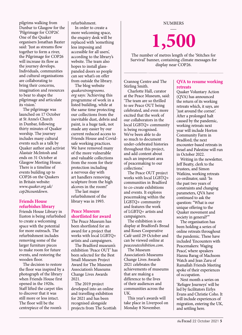pilgrims walking from Dunbar to Glasgow for the 'Pilgrimage for COP26'. One of the Quaker organisers Jonathan Baxter said: 'Just as streams flow together to form a river, the Pilgrimage for COP26 will increase its flow as the journey develops. Individuals, communities and cultural organisations are collaborating to bring their concerns, imagination and resources to bear to shape the pilgrimage and articulate its vision.'

The pilgrimage was launched on 17 October at St Anne's Church in Dunbar, following thirty minutes of Quaker worship. The journey includes many cultural events such as a talk by Quaker author and activist Alastair McIntosh and ends on 31 October at Glasgow Meeting House. There is a timeline of events building up to COP26 on the Quakers in Britain website: *www.quaker.org.uk/ cop26countdown*.

#### **Friends House refurbishes library**

Friends House Library in Euston is being refurbished to create a welcoming space with the potential for more outreach. The refurbishment includes removing some of the larger furniture pieces to make room for future events, and restoring the wooden floor.

The decision to restore the floor was inspired by a photograph of the library when Friends House first opened in the 1920s. Staff lifted the carpet tiles to discover that it was still more or less intact. The floor will be the centrepiece of the room's

refurbishment.

In order to create a more welcoming space, the enquiry desk will be replaced with 'something less imposing and accessible for all users', according to the library's website. The team also hopes to install glasspaneled doors so people can see what's on offer from outside the library.

The blog website *quakerstrongrooms. org* says: 'Achieving this programme of work in a listed building, while at the same time protecting our collections from the inevitable dust, debris and paint, is a huge task, not made any easier by our current reduced access to Friends House and Covidsafe working practices. We have removed many of the more vulnerable and valuable collections from the room for their protection including a nervous day with art handlers removing sculpture from the high alcoves in the room!'

The last major refurbishment of the library was in 1993.

#### **Peace Museum shortlisted for award**

The Peace Museum has been shortlisted for an award for a project that works with local LGBTQ+ artists and campaigners.

The Bradford museum's exhibition 'Peace OUT' has been selected for the Best Small Museum Project Award for The Museum Association's Museums Change Lives Awards 2021.

The 2019 project developed into an online and travelling exhibition for 2021 and has been recognised alongside projects from The Scottish

#### NUMBERS

**1,500**

The number of metres length of the 'Stitches for Survival' banner, containing climate messages for display near COP26.

Crannog Centre and The Stirling Smith.

Charlotte Hall, curator at the Peace Museum, said: 'The team are so thrilled to see Peace OUT being celebrated, and even more excited that the work of our collaborators in the local LGBTQ+ community is being recognised. We've been able to do so much to document under-celebrated histories throughout this project, and add content about such an important area of peacemaking to our collections.'

The Peace OUT project works with local LGBTQ+ communities in Bradford to co-create exhibitions and events. It explores peacemaking within the LGBTQ+ community and features the work of LGBTQ+ artists and campaigners.

The exhibition is on display at Bradford's Bread and Roses Cooperative Café until 29 October and can be viewed online at *peaceoutexhibition.com*.

The Museum Association's Museums Change Lives Awards 2021 celebrates the achievements of museums that are making a difference to the lives of their audiences and communities across the UK.

This year's awards will take place in Liverpool on Monday 8 November.

#### **QVA to resume working retreats**

Quaker Voluntary Action (QVA) has announced the return of its working retreats which, it says, are 'just around the corner'. After a prolonged halt caused by the pandemic, working retreats next year will include Horton Community Farm in Bradford; the next encounter-based retreats in Israel and Palestine will run in October 2022.

Writing in the newsletter, Jeff Beatty, clerk to the trustees, and Simon Watkins, working retreats co-ordinator, said: 'In the past two years of constraints and changing parameters, QVA have continued to ask the question: "What is our unique offering to the Quaker movement and society in general?"'

The organisation has been holding a series of online retreats throughout the pandemic. These have included 'Encounters with Peacemakers: Waging Peace', where speakers Hanna Barag of Machsom Watch and Jean Zaru of Ramallah Friends Meeting spoke of their experiences of occupation.

Next month a series on 'Refugee Journeys' will be led by facilitators Eirlys Evans and Christie Coho. It will include experiences of migration, entering the UK, and settling here.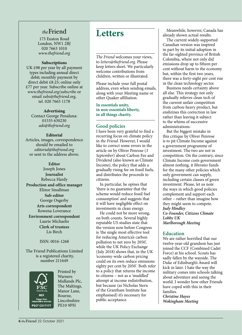# *the*Friend

173 Euston Road London, NW1 2BJ 020 7663 1010 *www.thefriend.org*

#### **Subscriptions**

UK £98 per year by all payment types including annual direct debit; monthly payment by direct debit £8.25; online only £77 per year. Subscribe online at *www.thefriend.org/subscribe* or email *subs@thefriend.org*, tel. 020 7663 1178

#### **Advertising**

Contact George Penaluna: 01535 630230 *ads@thefriend.org*

#### **Editorial**

Articles, images, correspondence should be emailed to *editorial@thefriend.org* or sent to the address above.

### **Editor**

Joseph Jones **Journalist** Rebecca Hardy **Production and office manager**  Elinor Smallman **Sub-editor** George Osgerby **Arts correspondent** Rowena Loverance **Environment correspondent** Laurie Michaelis **Clerk of trustees** Lis Birch

#### ISSN: 0016-1268

The Friend Publications Limited is a registered charity, number 211649



Printed by Warners Midlands Plc, The Maltings, Manor Lane, Bourne, Lincolnshire PE10 9PH

# **Letters**

*The Friend* welcomes your views, to *letters@thefriend.org.* Please keep letters short. We particularly welcome contributions from children, written or illustrated.

Please include your full postal address, even when sending emails, along with your Meeting name or other Quaker affiliation.

**In essentials unity, in non-essentials liberty, in all things charity.**

#### **Good policies**

I have been very grateful to find a recurring focus on climate policy in *the Friend*. However, I would like to correct some errors in the article on by Oliver Penrose (*3 September*) about Carbon Fee and Dividend (also known as Climate Income), the policy that adds a gradually rising fee on fossil fuels, and distributes the proceeds to citizens.

In particular, he opines that 'there is no guarantee that the scheme would reduce fossil fuel consumption' and suggests that it will have negligible effect on investments in clean energy.

He could not be more wrong, on both counts. Several highly reputable US studies state that the version now before Congress is 'the single most effective tool for reducing America's carbon pollution to net zero by 2050', while the UK Policy Exchange (July 2018) shows that, in the UK 'economy-wide carbon pricing could on its own reduce emissions eighty per cent by 2050'. Both refer to a policy that returns the income to citizens – not as a 'muddled' attempt at income redistribution, but because (as Nicholas Stern of the Grantham Institute has emphasised) it's necessary for public acceptance.

Meanwhile, however, Canada has already shown actual results.

The current widely-supported Canadian version was inspired in part by its initial adoption in the far-sighted province of British Colombia, where not only did emissions drop up to fifteen per cent without harm to the economy but, within the first two years, there was a forty-eight per cent rise in the clean technology sector.

Business needs certainty above all else. This strategy not only gradually relieves clean tech of the current unfair competition from carbon-heavy product, but enshrines this correction in law rather than leaving it subject to the whims of successive administrations.

But the biggest mistake in this critique by Oliver Penrose is to pit Climate Income against a government programme of investment. The two are not in competition. On the contrary, since Climate Income costs government almost nothing, it *liberates* funds for the many other policies which only government can supply, including certain classes of green investment. Please, let us note the ways in which good policies complement and support each other – rather than imagine how they might seem to compete. *Judy Hindley Co-Founder, Citizens Climate Lobby UK Marlborough Meeting* 

#### **Education**

We are rather horrified that our twelve-year-old grandson has just joined the CCF (Combined Cadet Force) at his school. Scouts has sadly fallen by the wayside. The Duke of Edinburgh's Award will kick in later. I hate the way the military comes into schools talking about adventure and seeing the world. I wonder how other Friends have coped with this in their families.

*Christine Hayes Wokingham Meeting*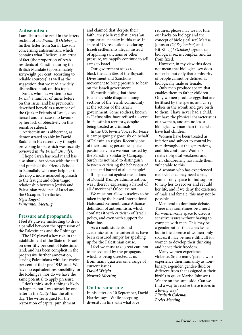#### **Antisemitism**

I am disturbed to read in the letters section of *the Friend* (*8 October*) a further letter from Sarah Lawson concerning antisemitism, which contains what I believe is an error of fact (the proportion of Arab residents of Palestine during the British Mandate (approximately sixty-eight per cent, according to reliable sources)) as well as the suggestion that we read a widely discredited book on this topic.

Sarah, who has written to *the Friend*, a number of times before on this issue, and has previously described herself as a member of the Quaker Friends of Israel, does herself and her cause no favours by her lack of objectivity on this sensitive subject.

Antisemitism is abhorrent, as demonstrated so ably by David Baddiel in his recent very thoughtprovoking book, which was recently reviewed in *the Friend* (*30 July*).

I hope Sarah has read it and has also shared her views with the staff and pupils of the Friends School in Ramallah, who may help her to develop a more nuanced approach to the fraught and often tragic relationship between Jewish and Palestinian residents of Israel and the Occupied Territories. *Nigel Engert Wincanton Meeting*

**Pressure and propaganda**

I feel it's gravely misleading to draw a parallel between the oppression of the Palestinians and the Rohingya.

The UK played a key role in the establishment of the State of Israel on over fifty per cent of Palestinian land, and has been complicit in the progressive further annexation, leaving Palestinians with just twelve per cent of their pre-1948 land. We have no equivalent responsibility for the Rohingya, nor do we have the same potential to apply pressure.

I don't think such a thing is likely to happen, but I was struck by one letter in the *Daily Mail* the other day. The writer argued for the restoration of capital punishment

and claimed that 'despite their faith', they believed that it was 'an appropriate penalty in this case'. In spite of UN resolutions declaring Israeli settlements illegal, instead of applying sanctions or other pressure, we happily continue to sell arms to Israel.

Our government seeks to block the activities of the Boycott Divestment and Sanctions movement to bring pressure to bear on the Israeli government.

It's worth noting that there is considerable disquiet among sections of the Jewish community at the actions of the Israeli government. Some soldiers, known as 'Refuseniks', have refused to serve in Palestinian territory, despite being treated as criminals.

In the US, Jewish Voices for Peace is campaigning vigorously on behalf of Palestinian rights. Recently one of their leading personnel spoke passionately in a webinar hosted by the Palestine Solidarity Campaign. Surely it's not hard to distinguish between criticising the behaviour of a state and hatred of all its people?

If I spoke out against the actions of Donald Trump's administration, was I thereby expressing a hatred of all Americans? Of course not.

We must not allow ourselves to be taken in by the biased International Holocaust Remembrance Alliance definition of antisemitism, which conflates it with criticism of Israeli policy, and even with support for Palestine.

As a result, students and academics at some universities have been censured simply for speaking up for the Palestinian cause.

I feel we must take great care not to be seduced by the propaganda which is being directed at us from many quarters on a range of current issues. *David Wright Newark Meeting*

#### **On the same side**

In his letter on 10 September, David Harries says: 'While accepting diversity in line with what love

requires, please may we not turn our backs on biology and the concept of biological sex'. Marisa Johnson *(24 September*) and Kit King (*1 October)* argue that biological sex is complex, and far from fixed.

However, in my view this does not mean that biological sex does not exist, but only that a minority of people cannot be defined as biologically male or female.

Only men produce sperm that enables them to father children. Only women produce eggs that are fertilised by the sperm, and carry babies in the womb and give birth to them. I have never had a child, but have the physical characteristics of a woman, and am no less a biological woman than those who have had children.

Women have been treated as inferior and subject to control by men throughout the generations, and this continues. Women's relative physical weakness and their childbearing has made them vulnerable to this.

A woman who has experienced male violence may need a safe, women-only space to find support to help her to recover and rebuild her life, and if we deny the existence of male and female, this may not be possible.

Men tend to dominate debate. There may sometimes be a need for women-only space to discuss sensitive issues without having to compete with men. This may be a gender rather than a sex issue, but in the absence of women-only spaces, it may be more difficult for women to develop their thinking and hence their freedom.

Many women experience violence. So do many 'people who experience their humanity as nonbinary, a-gender, gender-fluid or different from that assigned at their birth' (to quote Marisa Johnson). We are on the same side. Can we find a way to resolve these issues in a loving way? *Elizabeth Coleman Eccles Meeting*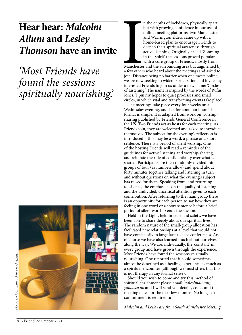# **Hear hear:** *Malcolm Allum* **and** *Lesley Thomson* **have an invite**

*'Most Friends have found the sessions spiritually nourishing.'*



n the depths of lockdown, physically apart but with growing confidence in our use of online meeting platforms, two Manchester and Warrington elders came up with a home-based plan to encourage Friends to deepen their spiritual awareness through active listening. Originally called 'Zooming in the Spirit' the sessions proved popular with a core group of Friends, mostly from

Mancheste<br>a few other<br>join. Distar Manchester and the surrounding area but augmented by a few others who heard about the meetings and asked to join. Distance being no barrier when one meets online, we are now seeking to widen participation and invite any interested Friends to join us under a new name: 'Circles of Listening.' The name is inspired by the words of Rufus Jones: 'I pin my hopes to quiet processes and small circles, in which vital and transforming events take place.'

The meetings take place every four weeks on a Wednesday evening, and last for about an hour. The format is simple. It is adapted from work on worshipsharing published by Friends General Conference in the US. Two Friends act as hosts for each meeting. As Friends join, they are welcomed and asked to introduce themselves. The subject for the evening's reflection is introduced – this may be a word, a phrase or a short sentence. There is a period of silent worship. One of the hosting Friends will read a reminder of the guidelines for active listening and worship-sharing, and reiterate the rule of confidentiality over what is shared. Participants are then randomly divided into groups of four (as numbers allow) and spend about forty minutes together talking and listening in turn and without questions on what the evening's subject has raised for them. Speaking from, and returning to, silence, the emphasis is on the quality of listening and the undivided, uncritical attention given to each contribution. After returning to the main group there is an opportunity for each person to say how they are feeling in one word or a short sentence before a brief period of silent worship ends the session.

Held in the Light, held in trust and safety, we have been able to share deeply about our spiritual lives. The random nature of the small-group allocation has facilitated new relationships at a level that would not have come easily in large face-to-face conferences. And of course we have also learned much about ourselves along the way. We are, individually, the 'constant' in every group and have grown through the experience. Most Friends have found the sessions spiritually nourishing. One reported that it could sometimes almost be described as a healing experience as much as a spiritual encounter (although we must stress that this is not therapy in any formal sense).

Should you wish to come and try this method of spiritual enrichment please email *malcolmallum@ yahoo.co.uk* and I will send you details, codes and the meeting dates for the next few months. No long-term commitment is required.  $\bullet$ 

*Malcolm and Lesley are from South Manchester Meeting.*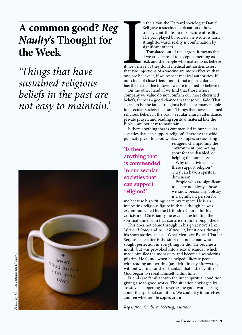# **A common good?** *Reg Naulty***'s Thought for the Week**

*'Things that have sustained religious beliefs in the past are not easy to maintain.'*



n the 1960s the Harvard sociologist Daniel Bell gave a succinct explanation of how society contributes to our picture of reality. The part played by society, he wrote, is fairly straightforward: reality is confirmation by significant others.

I Translated out of the jargon, it means that if we are disposed to accept something as real, and the people who matter to us believe it, we believe as they do. If medical authorities assert that two injections of a vaccine are more effective than one, we believe it, if we respect medical authorities. If our circle of close friends assert that a particular cafe has the best coffee in town, we are inclined to believe it.

On the other hand, if we find that those whose company we value do not confirm our most cherished beliefs, there is a good chance that these will fade. That seems to be the fate of religious beliefs for many people in a secular society like ours. Things that have sustained religious beliefs in the past – regular church attendance, private prayer, and reading spiritual material like the Bible – are not easy to maintain.

Is there anything that is commended in our secular societies that can support religion? There is: the wide publicity given to good works. Examples are assisting

# **'Is there anything that is commended in our secular societies that can support religion?'**

refugees, championing the environment, promoting sport for the disabled, or helping the homeless.

Why do activities like these support religion? They can have a spiritual dimension.

People who are significant to us are not always those we know personally. Tolstoy is a significant person for

me because his writings earn my respect. He is an interesting religious figure in that, although he was excommunicated by the Orthodox Church for his criticism of Christianity, he excels in exhibiting the spiritual dimension that can arise from helping others.

This does not come through in his great novels like *War and Peace* and *Anna Karenina*, but it does through his short stories such as 'What Men Live By' and 'Father Sergius'. The latter is the story of a nobleman who sought perfection in everything he did. He became a monk, but was provoked into a sexual scandal, which made him flee the monastery and become a wandering pilgrim. He found, when he helped illiterate people with reading and writing (and left directly afterwards, without waiting for their thanks), that 'little by little God began to reveal Himself within him'.

Friends are familiar with the inner spiritual condition giving rise to good works. The situation envisaged by Tolstoy is happening in reverse: the good works bring about the spiritual condition. We could try it ourselves, and see whether life copies art.  $\bullet$ 

*Reg is from Canberra Meeting, Australia.*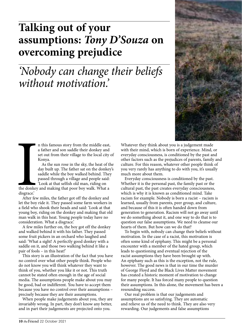# **Talking out of your assumptions:** *Tony D'Souza* **on overcoming prejudice**

*'Nobody can change their beliefs without motivation.'*



n this famous story from the middle east, a father and son saddle their donkey and set out from their village to the local city of Konya.

As the sun rose in the sky, the heat of the day built up. The father sat on the donkey's saddle while the boy walked behind. They passed through a village and people said:

the donkey<br>disgrace.'<br>After few 'Look at that selfish old man, riding on the donkey and making that poor boy walk. What a disgrace.'

After few miles, the father got off the donkey and let the boy ride it. They passed some farm workers in a field who shook their heads and said: 'Look at that young boy, riding on the donkey and making that old man walk in this heat. Young people today have no consideration. What a disgrace.'

A few miles further on, the boy got off the donkey and walked behind it with his father. They passed some fruit pickers in an orchard who laughed and said: 'What a sight! A perfectly good donkey with a saddle on it, and those two walking behind it like a pair of fools – in this heat!'

This story is an illustration of the fact that you have no control over what other people think. People who do not know you will think whatever they want to think of you, whether you like it or not. This truth cannot be stated often enough in the age of social media. The assumptions people make about you may be good, bad or indifferent. You have to accept them because you have no control over their assumptions – precisely because they are their assumptions.

When people make judgements about you, they are invariably wrong. In part, they don't know any better, and in part their judgements are projected onto you.

Whatever they think about you is a judgement made with their mind, which is born of experience. Mind, or everyday consciousness, is conditioned by the past and other factors such as the prejudices of parents, family and culture. For this reason, whatever other people think of you very rarely has anything to do with you, it's usually much more about them.

Everyday consciousness is conditioned by the past. Whether it is the personal past, the family past or the cultural past, the past creates everyday consciousness, which is why it is known as conditioned mind. Take racism for example. Nobody is born a racist – racism is learned, usually from parents, peer group, and culture, and because of this it is often handed down from generation to generation. Racism will not go away until we do something about it, and one way to do that is to question our false assumptions. We need to cleanse our hearts of them. But how can we do that?

To begin with, nobody can change their beliefs without motivation. In the case of a racist, this motivation is often some kind of epiphany. This might be a personal encounter with a member of the hated group, which leads to questioning and eventual rejection of the racist assumptions they have been brought up with. An epiphany such as this is the exception, not the rule, however. The good news is that in our time the murder of George Floyd and the Black Lives Matter movement has created a historic moment of motivation to change for many people. It has forced many people to question their assumptions. In this alone, the movement has been a resounding success.

Our real problem is that our judgements and assumptions are so satisfying. They are automatic and relieve us of the need to think. They are also very rewarding. Our judgements and false assumptions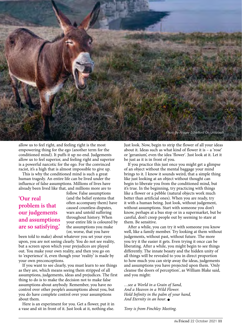

allow us to feel right, and feeling right is the most empowering thing for the ego (another term for the conditioned mind). It puffs it up no end. Judgements allow us to feel superior, and feeling right and superior is a powerful narcotic for the ego. For the convinced racist, it's a high that is almost impossible to give up.

This is why the conditioned mind is such a great human tragedy. An entire life can be lived under the influence of false assumptions. Millions of lives have already been lived like that, and millions more are to

## **'Our real problem is that our judgements and assumptions are so satisfying.'**

follow. False assumptions (and the belief systems that often accompany them) have caused countless disputes, wars and untold suffering throughout history. When your entire life is coloured by the assumptions you make (or, worse, that you have

been told to make) about whatever you set your eyes upon, you are not seeing clearly. You do not see reality, but a screen upon which your prejudices are played out. You make your own reality, and then you go on to 'experience' it, even though your 'reality' is made by your own preconceptions.

If you want to see clearly, you must learn to see things as they are, which means seeing them stripped of all assumptions, judgements, ideas and prejudices. The first thing to do is to make the decision not to make false assumptions about anybody. Remember, you have no control over other people's assumptions about you, but you do have complete control over your assumptions about them.

Here is an experiment for you. Get a flower, put it in a vase and sit in front of it. Just look at it, nothing else.

Just look. Now, begin to strip the flower of all your ideas about it. Ideas such as what kind of flower it is  $-$  a 'rose' or 'geranium', even the idea 'flower'. Just look at it. Let it be just as it is in front of you.

If you practice this just once you might get a glimpse of an object without the mental baggage your mind brings to it. I know it sounds weird, that a simple thing like just looking at an object without thought can begin to liberate you from the conditioned mind, but it's true. In the beginning, try practicing with things like a flower or a pebble (natural objects work much better than artificial ones). When you are ready, try it with a human being. Just look, without judgement, without assumptions. Start with someone you don't know, perhaps at a bus stop or in a supermarket, but be careful, don't creep people out by seeming to stare at them. Be sensitive.

After a while, you can try it with someone you know well, like a family member. Try looking at them without judgements, without past, without future. The more you try it the easier it gets. Even trying it once can be liberating. After a while, you might begin to see things differently. The innate beauty and the hidden unity of all things will be revealed to you in direct proportion to how much you can strip away the ideas, judgements and assumptions you have projected upon them. 'Only cleanse the doors of perception', as William Blake said, and you might:

*…see a World in a Grain of Sand, And a Heaven in a Wild Flower. Hold Infinity in the palm of your hand, And Eternity in an hour.* 

*Tony is from Finchley Meeting.*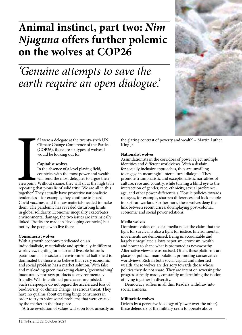# **Animal instinct, part two:** *Nim Njuguna* **offers further polemic on the wolves at COP26**

# *'Genuine attempts to save the earth require an open dialogue.'*



f I were a delegate at the twenty-sixth UN Climate Change Conference of the Parties (COP26), there are six types of wolves I would be looking out for.

#### **Capitalist wolves**

viewpoint.<br>
repeating the<br>
together. T In the absence of a level playing field, countries with the most power and wealth will send the most delegates to argue their viewpoint. Without shame, they will sit at the high table repeating that pious lie of solidarity: 'We are all in this together.' They actually have protective nationalistic tendencies – for example, they continue to hoard Covid vaccines, and the raw materials needed to make them. The pandemic has revealed disturbing limits in global solidarity. Economic inequality exacerbates environmental damage; the two issues are intrinsically linked. Profits are made in 'developing countries', but not by the people who live there.

#### **Consumerist wolves**

With a growth economy predicated on an individualistic, materialistic and spiritually-indifferent worldview, fighting for a fair and liveable future is paramount. This sectarian environmental battlefield is dominated by those who believe that every economic and social problem has a market solution. With false and misleading green marketing claims, 'greenwashing' inaccurately portrays products as environmentally friendly. Well-intentioned purchasers are misled. Such salespeople do not regard the accelerated loss of biodiversity, or climate change, as serious threat. They have no qualms about creating binge consumers in order to try to solve social problems that were created by the market in the first place.

'A true revolution of values will soon look uneasily on

the glaring contrast of poverty and wealth' – Martin Luther King Jr.

#### **Nationalist wolves**

Assimilationists in the corridors of power reject multiple identities and different worldviews. With a disdain for socially inclusive approaches, they are unwilling to engage in meaningful intercultural dialogue. They promote triumphalistic and exceptionalistic narratives of culture, race and country, while turning a blind eye to the intersection of gender, race, ethnicity, sexual preference, age, and other power differentials. Hostile policies towards refugees, for example, sharpen differences and lock people in partisan warfare. Furthermore, these wolves deny the link between recent crises, downplaying post-colonial, economic and social power relations.

#### **Media wolves**

Dominant voices on social media reject the claim that the fight for survival is also a fight for justice. Environmental movements are demonised. Being unaccountable and largely unregulated allows nepotism, cronyism, wealth and power to shape what is promoted as newsworthy. Alternative views are ostracised. Often, these platforms are places of political manipulation, promoting conservative worldviews. Rich in both social capital and inherited wealth, these wolves are derisory towards those whose politics they do not share. They are intent on reversing the progress already made, constantly undermining the notion of living together in diversity.

Democracy suffers in all this. Readers withdraw into social amnesia.

#### **Militaristic wolves**

Driven by a pervasive ideology of 'power over the other', these defenders of the military seem to operate above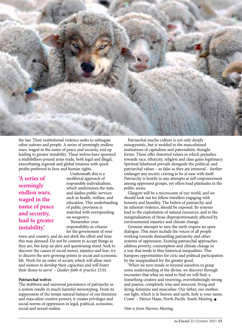

the law. Their institutional violence seeks to subjugate other nations and people. A series of seemingly endless wars, waged in the name of peace and security, end up leading to greater instability. These wolves have spawned a multibillion-pound arms trade, both legal and illegal, exacerbating regional and global tensions with quick profits preferred to lives and human rights.

**'A series of seemingly endless wars, waged in the name of peace and security, lead to greater instability.'**

Underneath this is a neoliberal approach of responsible individualism, which undermines the state and slashes public services such as health, welfare, and education. This underfunding of public provision is matched with overspending on weaponry. 'Remember your

responsibility as citizens for the government of your

town and country, and do not shirk the effort and time this may demand. Do not be content to accept things as they are, but keep an alert and questioning mind. Seek to discover the causes of social unrest, injustice and fear; try to discern the new growing-points in social and economic life. Work for an order of society which will allow men and women to develop their capacities and will foster their desire to serve' – *Quaker faith & practice* 23.01.

#### **Patriarchal wolves**

The stubborn and universal persistence of patriarchy as a system results in much harmful stereotyping. From its suppression of the innate natural balance of our feminine and masculine creative powers, it creates privileges and social norms of oppression in legal, political, economic, social and sexual realms.

Patriarchal macho culture is not only deeply misogynistic, but is wedded to the masculinised institutions of capitalism and paternalistic thought forms. These offer distorted values in which prejudice towards race, ethnicity, religion and class gains legitimacy. Spiritual falsehood prevails alongside the political, and patriarchal values – as false as they are immoral – further endanger any society craving to be at ease with itself. Patriarchy is hostile to any attempts at self-empowerment among oppressed groups, yet offers loud platitudes in the public arena.

Glasgow will be a microcosm of our world, and we should look out for fellow travellers engaging with honesty and humility. The hubris of patriarchy, and its inherent violence, should be exposed. Its systems lead to the exploitation of natural resources, and to the marginalisation of those disproportionately affected by environmental injustice and climate change.

Genuine attempts to save the earth require an open dialogue. This must include the voices of all people working towards dismantling patriarchy and other systems of oppression. Existing patriarchal approaches address poverty, consumption and climate change in a way that tends to blur historical inequalities. This hampers opportunities for civic and political participation by the marginalised for the greater good.

'When we turn inside or beyond ourselves to grasp some understanding of the divine, we discover through encounter that what we need to find we will find: a Something creative and renewing, overwhelmingly strong and passive, completely wise and innocent, living and dying, feminine and masculine. Our father, our mother, our light, which is in heaven and earth, holy is your name. Come' - Patrice Haan, North Pacific Yearly Meeting.  $\bullet$ 

*Nim is from Harrow Meeting.*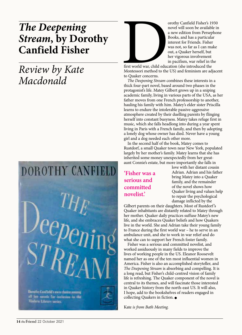# *The Deepening Stream***, by Dorothy Canfield Fisher**

# *Review by Kate Macdonald*





orothy Canfield Fisher's 1930<br>novel will soon be available in<br>a new edition from Persephor<br>Books, and has a particular<br>interest for Friends. Fisher<br>was not, so far as I can make<br>out, a Quaker herself, but<br>her vigorous invo novel will soon be available in a new edition from Persephone Books, and has a particular interest for Friends. Fisher was not, so far as I can make out, a Quaker herself, but her vigorous involvement in pacifism, war relief in the

first world war, child education (she introduced the Montessori method to the US) and feminism are adjacent to Quaker concerns.

*The Deepening Stream* combines these interests in a thick four-part novel, based around two phases in the protagonist's life. Matey Gilbert grows up in a sniping academic family, living in various parts of the USA, as her father moves from one French professorship to another, hauling his family with him. Matey's elder sister Priscilla learns to endure the intolerable passive-aggressive atmosphere created by their duelling parents by flinging herself into constant busyness. Matey takes refuge first in music, which she falls headlong into during a year spent living in Paris with a French family, and then by adopting a lonely dog whose owner has died. Never have a young girl and a dog needed each other more.

In the second half of the book, Matey comes to Rustdorf, a small Quaker town near New York, populated largely by her mother's family. Matey learns that she has inherited some money unexpectedly from her greataunt Connie's estate, but more importantly she falls in

# **'Fisher was a serious and committed novelist.'**

love with her distant cousin Adrian. Adrian and his father bring Matey into a Quaker family, and the remainder of the novel shows how Quaker living and values help to repair the psychological damage inflicted by the

Gilbert parents on their daughters. Most of Rustdorf's Quaker inhabitants are distantly related to Matey through her mother. Quaker daily practices suffuse Matey's new life, and she embraces Quaker beliefs and how Quakers live in the world. She and Adrian take their young family to France during the first world war – he to serve in an ambulance unit, and she to work in war relief and do what she can to support her French foster family.

Fisher was a serious and committed novelist, and worked assiduously in many fields to improve the lives of working people in the US. Eleanor Roosevelt named her as one of the ten most influential women in America. Fisher is also an accomplished storyteller, and *The Deepening Stream* is absorbing and compelling. It is a long read, but Fisher's child-centred vision of family life is refreshing. The Quaker component of the novel is central to its themes, and will fascinate those interested in Quaker history from the north-east US. It will also, I hope, add to the bookshelves of readers engaged in collecting Quakers in fiction.  $\bullet$ 

Kate *is from Bath Meeting.*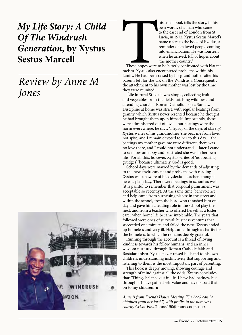# *My Life Story: A Child Of The Windrush Generation***, by Xystus Sestus Marcell**

# *Review by Anne M Jones*



his small book tells the story, in his<br>own words, of a man who came<br>to the east end of London from St<br>Lucia, in 1972. Xystus Sestus Marce<br>name refers to the book of Exodus,<br>reminder of enslaved people coming<br>into emancipat own words, of a man who came to the east end of London from St Lucia, in 1972. Xystus Sestus Marcel's name refers to the book of Exodus, a reminder of enslaved people coming into emancipation. He was fourteen when he arrived, full of hopes about 'the mother country'.

These hopes were to be bitterly confronted with blatant racism. Xystus also encountered problems within his family. He had been raised by his grandmother after his parents left for the UK on the Windrush. Consequently the attachment to his own mother was lost by the time they were reunited.

 Life in rural St Lucia was simple, collecting fruit and vegetables from the fields, catching wildfowl, and attending church – Roman Catholic – on a Sunday. Discipline at home was strict, with regular beatings from granny, which Xystus never resented because he thought he had brought them upon himself. Importantly, these were administered out of love – but beatings were the norm everywhere, he says, 'a legacy of the days of slavery'. Xystus writes of his grandmother 'she beat me from love, not spite, and I remain devoted to her to this day… the beatings my mother gave me were different, there was no love there, and I could not understand… later I came to see how unhappy and frustrated she was in her own life'. For all this, however, Xystus writes of 'not bearing grudges', 'because ultimately God is good'.

School days were marred by the demands of adjusting to the new environment and problems with reading. Xystus was unaware of his dyslexia – teachers thought he was plain lazy. There were beatings in school as well (it is painful to remember that corporal punishment was acceptable so recently). At the same time, benevolence and help came from surprising places: in the street and within the school, from the head who thrashed him one day and gave him a leading role in the school play the next, and from a teacher who offered herself as a foster carer when home life became intolerable. The years that followed were ones of survival: business ventures that succeeded one minute, and failed the next. Xystus ended up homeless and very ill. Help came through a charity for the homeless, to which he remains deeply grateful.

Running through the account is a thread of loving kindness towards his fellow humans, and an inner wisdom nurtured through Roman Catholic faith and Rastafarianism. Xystus never raised his hand to his own children, understanding instinctively that supporting and listening to them is the most important part of parenting.

This book is deeply moving, showing courage and strength of mind against all the odds. Xystus concludes that: 'Things balance out in life. I have had badness but through it I have gained self-value and have passed that on to my children.' $\bullet$ 

*Anne is from Friends House Meeting. The book can be obtained from her for £7, with profits to the homeless charity Crisis. Email* anne.150@phonecoop.coop.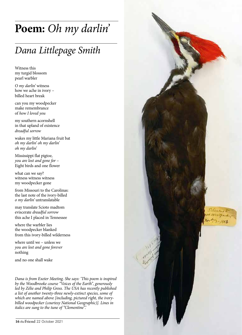# **Poem:** *Oh my darlin'*

# *Dana Littlepage Smith*

Witness this my turgid blossom pearl warbler

*O my darlin'* witness how we ache in ivory – billed heart break

can you my woodpecker make remembrance of *how I loved you* 

my southern acornshell in that upland of existence *dreadful sorrow*

wakes my little Mariana fruit bat *oh my darlin' oh my darlin' oh my darlin'*

Mississippi flat pigtoe, *you are lost and gone for* – Eight birds and one flower

what can we say? witness witness witness my woodpecker gone

from Missouri to the Carolinas: the last note of the ivory-billed *o my darlin'* untranslatable

may translate Scioto madtom eviscerate *dreadful sorrow* this ache I placed in Tennessee

where the warbler lies the woodpecker blanked from this ivory-billed wilderness

where until we – unless we *you are lost and gone forever* nothing

and no one shall wake

*Dana is from Exeter Meeting. She says: 'This poem is inspired by the Woodbrooke course "Voices of the Earth", generously led by Zélie and Philip Gross. The USA has recently published a list of another twenty-three newly-extinct species, some of which are named above [including, pictured right, the ivorybilled woodpecker (courtesy National Geographic)]. Lines in italics are sung to the tune of "Clementine".'*

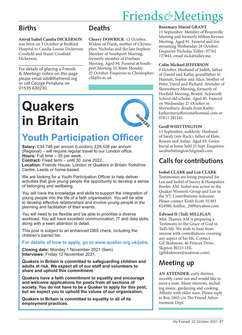# Friends*&*Meetings

# **Births**

**Astrid Isabel Candia DICKERSON**  was born on 3 October at Bedford Hospital to Candia Louise Dickerson Crosfield and Stuart Crosfield Dickerson.

For details of placing a Friends & Meetings notice on this page please email ads@thefriend.org or call George Penaluna on 01535 630230.

# **Deaths**

**Cherry DOWRICK** 12 October. Widow of Frank, mother of Christopher, Nicholas and the late Stephen. Member of Southport Meeting, formerly member of Durham Meeting. Aged 94. Funeral at Southport Meeting 10.30am Monday 25 October. Enquiries to Christopher: cfd@liv.ac.uk

# **Quakers in Britain**



# **Youth Participation Officer**

**Salary:** £34,748 per annum (London)**;** £29,538 per annum (Regional) – will require regular travel to our London office. **Hours:** Full time – 35 per week.

**Contract:** Fixed term – until 30 June 2022.

**Location:** Friends House, London or Quakers in Britain Yorkshire Centre, Leeds or home-based.

We are looking for a Youth Participation Officer to help deliver activities that give young people the opportunity to develop a sense of belonging and wellbeing.

You will have the knowledge and skills to support the integration of young people into the life of a faith organisation. You will be able to develop effective relationships and involve young people in the planning and facilitation of their events.

You will need to be flexible and be able to prioritise a diverse workload. You will have excellent communication, IT and data skills, along with a keen attention to detail.

This post is subject to an enhanced DBS check, including the children's barred list.

## **For details of how to apply, go to www.quaker.org.uk/jobs.**

**Closing date:** Monday 1 November 2021 (9am). **Interviews:** Friday 12 November 2021.

**Quakers in Britain is committed to safeguarding children and adults at risk. We expect all of our staff and volunteers to share and uphold this commitment.**

**Quakers have a faith commitment to equality and encourage and welcome applications for posts from all sections of society. You do not have to be a Quaker to apply for this post, but we expect you to uphold the values of our organisation.**

**Quakers in Britain is committed to equality in all of its employment practices.**

## **Rosemary Muriel GRANT**

15 September. Member of Bournville Meeting and formerly Milton Keynes Meeting. Aged 91. Funeral and live streaming Wednesday 28 October. Enquiries Nicholas Tulley: 07762 727843, email nick@tulley.me.

#### **Colin Michael JEFFERSON**

9 October. Husband of Judith, father of Daniel and Kathy, grandfather to Hannah, Sophie and Alice, brother of Peter, David and Richard. Attender of Shrewsbury Meeting, formerly of Horfield Meeting, Bristol. Ackworth School old scholar. Aged 83. Funeral on Wednesday 27 October in Shrewsbury, details from Kathy: katherineriefferson@hotmail.com or 07811 281241.

## **Geoff WHITTINGTON**

13 September, suddenly. Husband of Sarah (née Rack), father of Elsie, Rowan and Aidan. Aged 69. Green burial at home held 25 Sept. Enquiries: sarahwhittington5@gmail.com

# **Calls for contributions**

**Isobel CLARK and Len CLARK** 

Testimonies are being prepared for Len and Isobel of Surrey & Hampshire Border AM. Isobel was active in the Quaker Women's Group and Len in the NT. Contributions welcome. Please contact Keith Scott: 01483 824980, keithsc\_2000@yahoo.com.

## **Edward H (Ted) MILLIGAN**

Mid-Thames AM is preparing a Testimony to the Grace of God in Ted's life. We wish to hear from anyone with contributions covering any aspect of his life. Contact Gil Skidmore, 46 Princes Drive, Skipton BD23 1HL (gilskidmore@waitrose.com).

# **Meeting up**

**AN ATTENDER,** early thirties, recently came out and would like to meet a man. Many interests, including music, gardening and cooking. Affinity with older men. Please reply to Box 1003 c/o The Friend Advertisement Dept.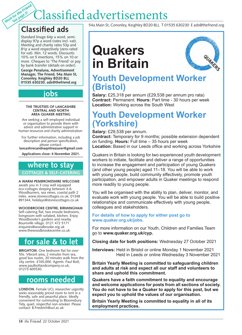# lassified advertisements

# **Classified ads**

Work for the Friend<br>Work for the Friend

Standard linage 64p a word, semidisplay 97p a word (rates incl. vat). Meeting and charity rates 53p and 81p a word respectively (zero-rated for vat). Min. 12 words. Discounts: 10% on 5 insertions, 15% on 10 or more. Cheques to 'The Friend' or pay by bank transfer (details on order). **George Penaluna, Advertisement Manager, The Friend, 54a Main St, Cononley, Keighley BD20 8LL 01535 630230. ads@thefriend.org**

# **jobs**

#### **THE TRUSTEES OF LANCASHIRE CENTRAL AND NORTH AREA QUAKER MEETING**

Are seeking a self-employed individual or organisation to provide them with advice and administrative support in human resources and charity administration.

For further information, including a job description and person specification, please contact:

**lancashirecandnaqmtreasurer@gmail.com**

**Applications close: 4 November 2021.**

# **where to stay COTTAGES & SELF-CATERING**

**A WARM PEMBROKESHIRE WELCOME** awaits you in 3 cosy well equipped eco-cottages sleeping between 4-6. Woodburners, sea views, coastal path 2 miles. www.stonescottages.co.uk, 01348 891344, holidays@stonescottages.co.uk

#### **WOODBROOKE CENTRE, BIRMINGHAM**

Self-catering flat, two ensuite bedrooms, livingroom with sofabed, kitchen. Enjoy Woodbrooke's gardens and nearby Bournville village. 0121 472 5171 enquiries@woodbrooke.org.uk www.thewoodbrookecentre.co.uk

# **for sale & to let**

**BRIGHTON.** One bedroom flat for over 55s. Vibrant area, 2 minutes from sea, good bus routes, 20 minutes walk from the city centre. £165,000. Agents: Paul Bott, www.paulbottandcompany.co.uk, 01273 605530.

# **rooms needed**

**LONDON.** Female UCL researcher urgently seeks reasonably priced room to rent in a friendly, safe and peaceful place. Ideally convenient for commuting to Bloomsbury. Tidy, quiet, respectful non-smoker. Please contact: B.Friedrich@ucl.ac.uk

54a Main St, Cononley, Keighley BD20 8LL T 01535 630230 E ads@thefriend.org

# **Quakers in Britain**



# **Youth Development Worker (Bristol)**

**Salary:** £25,318 per annum (£29,538 per annum pro rata) **Contract:** Permanent. **Hours:** Part time - 30 hours per week **Location:** Working across the South West

# **Youth Development Worker (Yorkshire)**

## **Salary:** £29,538 per annum.

**Contract:** Temporary for 9 months; possible extension dependent on funding. **Hours:** Full time – 35 hours per week **Location:** Based in our Leeds office and working across Yorkshire

Quakers in Britain is looking for two experienced youth development workers to initiate, facilitate and deliver a range of opportunities to increase the engagement and participation of young Quakers (and other young people) aged 11–18. You will be able to work with young people, build community effectively, promote youth participation, and empower adults in Quaker meetings to respond more readily to young people.

You will be organised with the ability to plan, deliver, monitor, and evaluate work with young people. You will be able to build positive relationships and communicate effectively with young people, colleagues and stakeholders.

### **For details of how to apply for either post go to www.quaker.org.uk/jobs.**

For more information on our Youth, Children and Families Team go to **www.quaker.org.uk/cyp.**

**Closing date for both positions:** Wednesday 27 October 2021

**Interviews:** Held in Bristol or online Monday 1 November 2021 Held in Leeds or online Wednesday 3 November 2021

**Britain Yearly Meeting is committed to safeguarding children and adults at risk and expect all our staff and volunteers to share and uphold this commitment.**

**Quakers have a faith commitment to equality and encourage and welcome applications for posts from all sections of society. You do not have to be a Quaker to apply for this post, but we expect you to uphold the values of our organisation.**

**Britain Yearly Meeting is committed to equality in all of its employment practices.**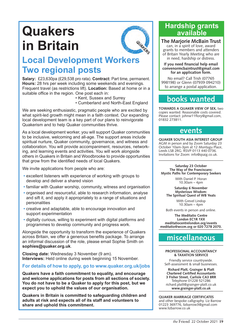# **Quakers in Britain**



# **Local Development Workers Two regional posts**

**Salary:** £23,630pa (£29,538 pro rata). **Contract:** Part time, permanent. **Hours:** 28 hrs per week including some weekends and evenings. Frequent travel (as restrictions lift). **Location:** Based at home or in a suitable office in the region. One post each in:

- Kent, Sussex and Surrey
- Cumberland and North-East England

We are seeking enthusiastic, pragmatic people who are excited by what spirit-led growth might mean in a faith context. Our expanding local development team is a key part of our plans to reinvigorate Quakerism and to help Quaker communities thrive.

As a local development worker, you will support Quaker communities to be inclusive, welcoming and all-age. The support areas include spiritual nurture, Quaker community, governance, and witness and collaboration. You will provide accompaniment, resources, networking, and learning events and activities. You will work alongside others in Quakers in Britain and Woodbrooke to provide opportunities that grow from the identified needs of local Quakers.

We invite applications from people who are:

- **•** excellent listeners with experience of working with groups to develop and deliver a shared vision
- **•** familiar with Quaker worship, community, witness and organisation
- **•** organised and resourceful, able to research information, analyse and sift it, and apply it appropriately to a range of situations and personalities
- **•** creative and adaptable, able to encourage innovation and support experimentation
- **•** digitally curious, willing to experiment with digital platforms and programmes to develop community and progress work.

Alongside the opportunity to transform the experience of Quakers across Britain, we offer a generous benefits package. To arrange an informal discussion of the role, please email Sophie Smith on **sophies@quaker.org.uk**.

**Closing date:** Wednesday 3 November (9 am). **Interviews:** Held online during week beginning 15 November.

## **For details of how to apply, go to www.quaker.org.uk/jobs**

**Quakers have a faith commitment to equality, and encourage and welcome applications for posts from all sections of society. You do not have to be a Quaker to apply for this post, but we expect you to uphold the values of our organisation.**

**Quakers in Britain is committed to safeguarding children and adults at risk and expects all of its staff and volunteers to share and uphold this commitment.**

# **Hardship grants available**

**The Marjorie McBain Trust** can, in a spirit of love, award grants to members and attenders of Britain Yearly Meeting who are in need, hardship or distress.

**If you need financial help email convenormcbaintrust@gmail.com for an application form.**

No email? Call Trish (07765 998198) or Glenn (07939 094210) to arrange a postal application.

# **books wanted**

**TOWARDS A QUAKER VIEW OF SEX,** two copies wanted. Reasonable costs covered. Please contact: johnw11flory@gmail.com, 01832 273811.

## **events**

**QUAKER SOUTH ASIA INTEREST GROUP**  AGM in person and by Zoom Saturday 23 October 10am-3pm at 12 Montagu Place, Leeds LS8 2RG. RSVP 0113 440 0736. Invitations for Zoom: info@qsaig.co.uk.

**Saturday 23 October The Way of the Franciscans: Mystic Paths for Contemporary Seekers**

> With Daniel P. Horan 10.30am – 4pm

**Saturday 6 November Mysterious Wisdom: The Spiritual Quest of WB Yeats**

> With Grevel Lindop 10.30am – 4pm

Both events in person and online.

**The Meditatio Centre London EC1R 1XX meditatiocentrelondon.org/events meditatio@wccm.org or 020 7278 2070.**

# **miscellaneous**

#### **PROFESSIONAL ACCOUNTANCY & TAXATION SERVICE**

Friendly service countrywide. Self-assessment & small businesses.

**Richard Platt, Grainger & Platt Chartered Certified Accountants 3 Fisher Street, Carlisle CA3 8RR** Telephone 01228 521286 richard.platt@grainger-platt.co.uk **www.grainger-platt.co.uk**

**QUAKER MARRIAGE CERTIFICATES** and other bespoke calligraphy. Liz Barrow 01223 369776, lizbarrow3@gmail.com www.lizbarrow.co.uk